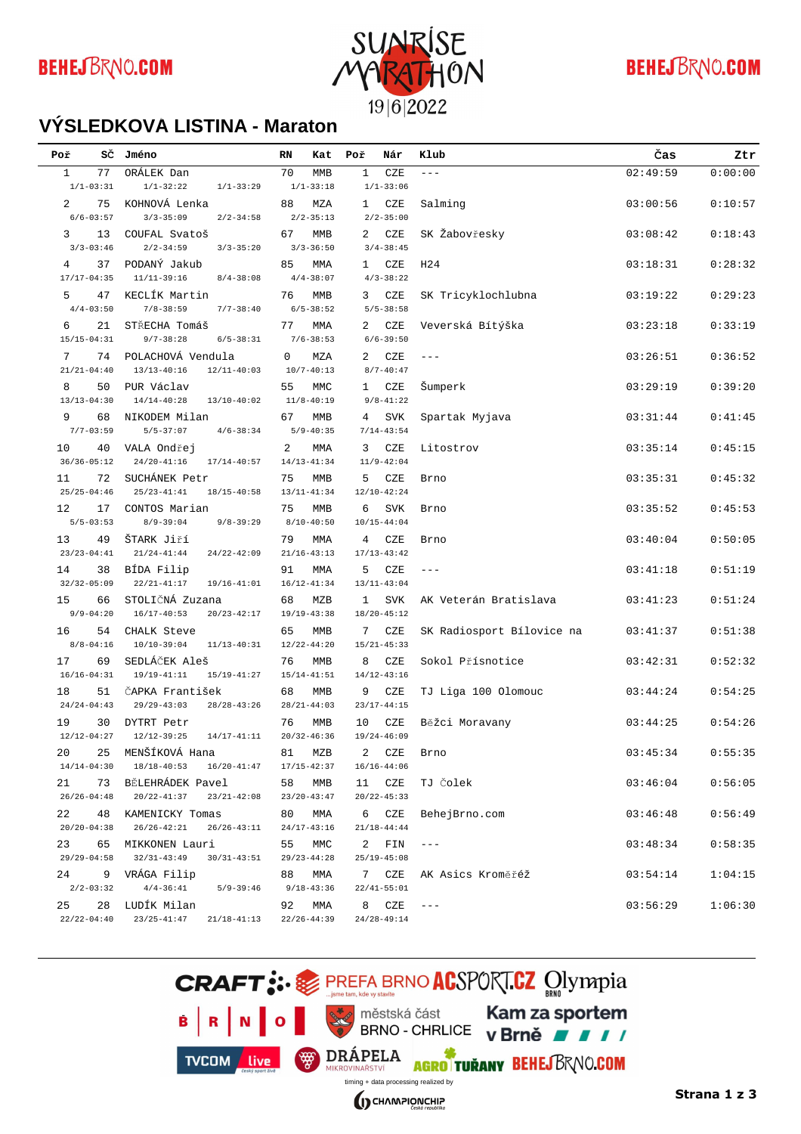

# **BEHEJBRNO.COM**

#### **VÝSLEDKOVÁ LISTINA - Maraton**

| Poř                   | sč | Jméno                                                                                    | RN | Kat                    | Poř          | Nár                       | Klub                      | Čas      | Ztr     |
|-----------------------|----|------------------------------------------------------------------------------------------|----|------------------------|--------------|---------------------------|---------------------------|----------|---------|
| $\mathbf{1}$          | 77 | ORÁLEK Dan                                                                               | 70 | <b>MMB</b>             | 1            | CZE                       | $---$                     | 02:49:59 | 0:00:00 |
| $1/1 - 03:31$         |    | $1/1 - 32:22$<br>$1/1 - 33:29$                                                           |    | $1/1 - 33:18$          |              | $1/1 - 33:06$             |                           |          |         |
| $\overline{2}$        | 75 | KOHNOVÁ Lenka                                                                            | 88 | MZA                    | 1            | CZE                       | Salming                   | 03:00:56 | 0:10:57 |
| $6/6 - 03:57$         |    | $3/3 - 35:09$<br>$2/2 - 34:58$                                                           |    | $2/2 - 35:13$          |              | $2/2 - 35:00$             |                           |          |         |
| 3                     | 13 | COUFAL Svatoš                                                                            | 67 | MMB                    | 2            | CZE                       | SK Žabovřesky             | 03:08:42 | 0:18:43 |
| $3/3 - 03:46$         | 37 | $2/2 - 34:59$<br>$3/3 - 35:20$<br>PODANÝ Jakub                                           | 85 | $3/3 - 36:50$          |              | $3/4 - 38:45$             | H <sub>24</sub>           |          |         |
| 4<br>$17/17 - 04:35$  |    | $11/11-39:16$<br>$8/4 - 38:08$                                                           |    | MMA<br>$4/4 - 38:07$   | 1            | CZE<br>$4/3 - 38:22$      |                           | 03:18:31 | 0:28:32 |
| 5                     | 47 | KECLÍK Martin                                                                            | 76 | <b>MMB</b>             | 3            | CZE                       | SK Tricyklochlubna        | 03:19:22 | 0:29:23 |
| $4/4 - 03:50$         |    | $7/8 - 38:59$<br>$7/7 - 38:40$                                                           |    | $6/5 - 38:52$          |              | $5/5 - 38:58$             |                           |          |         |
| 6                     | 21 | STŘECHA Tomáš                                                                            | 77 | MMA                    | 2            | CZE                       | Veverská Bítýška          | 03:23:18 | 0:33:19 |
| $15/15 - 04:31$       |    | $9/7 - 38:28$<br>$6/5 - 38:31$                                                           |    | $7/6 - 38:53$          |              | $6/6 - 39:50$             |                           |          |         |
| 7                     | 74 | POLACHOVÁ Vendula                                                                        | 0  | MZA                    | 2            | CZE                       | $-- -$                    | 03:26:51 | 0:36:52 |
| $21/21 - 04:40$       |    | $13/13 - 40:16$<br>$12/11 - 40:03$                                                       |    | $10/7 - 40:13$         |              | $8/7 - 40:47$             |                           |          |         |
| 8                     | 50 | PUR Václav                                                                               | 55 | MMC                    | $\mathbf{1}$ | CZE                       | Šumperk                   | 03:29:19 | 0:39:20 |
| $13/13 - 04:30$       |    | $14/14-40:28$<br>$13/10 - 40:02$                                                         |    | $11/8 - 40:19$         |              | $9/8 - 41:22$             |                           |          |         |
| 9                     | 68 | NIKODEM Milan                                                                            | 67 | <b>MMB</b>             | 4            | SVK                       | Spartak Myjava            | 03:31:44 | 0:41:45 |
| $7/7 - 03:59$         |    | $5/5 - 37:07$<br>$4/6 - 38:34$                                                           |    | $5/9 - 40:35$          |              | $7/14 - 43:54$            |                           |          |         |
| 10<br>$36/36 - 05:12$ | 40 | VALA Ondřej<br>$24/20 - 41:16$<br>$17/14 - 40:57$                                        | 2  | MMA<br>$14/13 - 41:34$ | 3            | CZE<br>$11/9 - 42:04$     | Litostrov                 | 03:35:14 | 0:45:15 |
| 11                    | 72 | SUCHÁNEK Petr                                                                            | 75 | <b>MMB</b>             | 5            | CZE                       | Brno                      | 03:35:31 | 0:45:32 |
| $25/25 - 04:46$       |    | $25/23 - 41:41$<br>$18/15 - 40:58$                                                       |    | $13/11 - 41:34$        |              | $12/10 - 42:24$           |                           |          |         |
| 12                    | 17 | CONTOS Marian                                                                            | 75 | MMB                    | 6            | <b>SVK</b>                | Brno                      | 03:35:52 | 0:45:53 |
| $5/5 - 03:53$         |    | $8/9 - 39:04$<br>$9/8 - 39:29$                                                           |    | $8/10 - 40:50$         |              | $10/15 - 44:04$           |                           |          |         |
| 13                    | 49 | ŠTARK Jiří                                                                               | 79 | MMA                    | 4            | CZE                       | Brno                      | 03:40:04 | 0:50:05 |
| $23/23 - 04:41$       |    | $21/24 - 41:44$<br>$24/22 - 42:09$                                                       |    | $21/16 - 43:13$        |              | $17/13 - 43:42$           |                           |          |         |
| 14                    | 38 | BÍDA Filip                                                                               | 91 | MMA                    | 5            | CZE                       | $---$                     | 03:41:18 | 0:51:19 |
| $32/32 - 05:09$       |    | $22/21 - 41:17$<br>$19/16 - 41:01$                                                       |    | $16/12 - 41:34$        |              | $13/11 - 43:04$           |                           |          |         |
| 15                    | 66 | STOLIČNÁ Zuzana                                                                          | 68 | MZB                    | 1            | <b>SVK</b>                | AK Veterán Bratislava     | 03:41:23 | 0:51:24 |
| $9/9 - 04:20$         |    | $16/17 - 40:53$<br>$20/23 - 42:17$                                                       |    | $19/19 - 43:38$        |              | $18/20 - 45:12$           |                           |          |         |
| 16<br>$8/8 - 04:16$   | 54 | CHALK Steve<br>$10/10-39:04$<br>$11/13 - 40:31$                                          | 65 | MMB<br>$12/22 - 44:20$ | 7            | CZE<br>$15/21 - 45:33$    | SK Radiosport Bílovice na | 03:41:37 | 0:51:38 |
| 17                    | 69 | SEDLÁČEK Aleš                                                                            | 76 | <b>MMB</b>             | 8            | CZE                       | Sokol Přísnotice          | 03:42:31 | 0:52:32 |
| $16/16 - 04:31$       |    | $19/19 - 41:11$<br>$15/19 - 41:27$                                                       |    | $15/14 - 41:51$        |              | $14/12 - 43:16$           |                           |          |         |
| 18                    | 51 | ČAPKA František                                                                          | 68 | MMB                    | 9            | CZE                       | TJ Liga 100 Olomouc       | 03:44:24 | 0:54:25 |
| $24/24 - 04:43$       |    | $29/29 - 43:03$<br>$28/28 - 43:26$                                                       |    | $28/21 - 44:03$        |              | $23/17 - 44:15$           |                           |          |         |
| 19                    | 30 | DYTRT Petr                                                                               | 76 | <b>MMB</b>             | 10           | CZE                       | Běžci Moravany            | 03:44:25 | 0:54:26 |
| $12/12 - 04:27$       |    | $12/12 - 39:25$<br>$14/17 - 41:11$                                                       |    | $20/32 - 46:36$        |              | $19/24 - 46:09$           |                           |          |         |
| 20                    |    | 25 MENŠÍKOVÁ Hana                                                                        |    | 81 MZB                 |              | 2 CZE                     | Brno                      | 03:45:34 | 0:55:35 |
| $14/14 - 04:30$       |    | 18/18-40:53  16/20-41:47                                                                 |    | $17/15 - 42:37$        |              | $16/16 - 44:06$           |                           |          |         |
| 21                    |    | 73 BĚLEHRÁDEK Pavel<br>$26/26 - 04:48$ $20/22 - 41:37$<br>$23/21-42:08$ $23/20-43:47$    | 58 | MMB                    |              | 11 CZE<br>$20/22 - 45:33$ | TJ Čolek                  | 03:46:04 | 0:56:05 |
| 22                    |    |                                                                                          |    |                        |              | 6 CZE                     |                           |          |         |
|                       |    | 48 KAMENICKY Tomas<br>$20/20 - 04:38$ $26/26 - 42:21$<br>$26/26 - 43:11$ $24/17 - 43:16$ | 80 | MMA                    |              | $21/18 - 44:44$           | BehejBrno.com             | 03:46:48 | 0:56:49 |
| 23                    |    | 65 MIKKONEN Lauri                                                                        | 55 | MMC                    |              | 2 FIN                     | $- - -$                   | 03:48:34 | 0:58:35 |
| $29/29 - 04:58$       |    | $32/31 - 43:49$<br>$30/31 - 43:51$ $29/23 - 44:28$                                       |    |                        |              | $25/19 - 45:08$           |                           |          |         |
| 24                    |    | 9 VRÁGA Filip                                                                            | 88 | MMA                    |              | 7 CZE                     | AK Asics Kroměřéž         | 03:54:14 | 1:04:15 |
| $2/2 - 03:32$         |    | $4/4-36:41$ $5/9-39:46$                                                                  |    | $9/18 - 43:36$         |              | $22/41 - 55:01$           |                           |          |         |
| 25                    |    | 28 LUDÍK Milan                                                                           | 92 | MMA                    |              | 8 CZE                     | $--\,$                    | 03:56:29 | 1:06:30 |
| $22/22 - 04:40$       |    | $23/25 - 41:47$ $21/18 - 41:13$                                                          |    | $22/26 - 44:39$        |              | $24/28 - 49:14$           |                           |          |         |

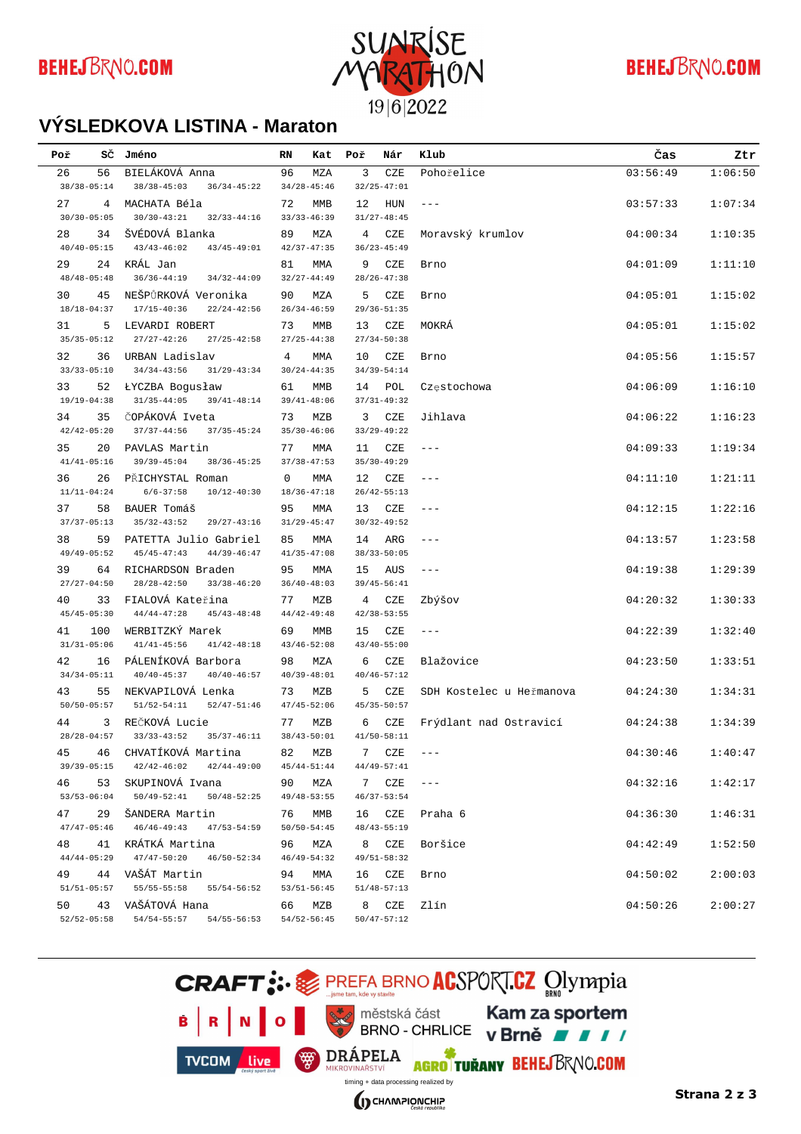

# **BEHEJBRNO.COM**

#### **VÝSLEDKOVÁ LISTINA - Maraton**

| Poř                   |                       | SČ Jméno                                                                     | RN          | Kat                    | Poř | Nár                    | Klub                     | Čas      | Ztr     |
|-----------------------|-----------------------|------------------------------------------------------------------------------|-------------|------------------------|-----|------------------------|--------------------------|----------|---------|
| 26                    | 56                    | BIELÁKOVÁ Anna                                                               | 96          | MZA                    | 3   | CZE                    | Pohořelice               | 03:56:49 | 1:06:50 |
|                       | $38/38 - 05:14$       | $38/38 - 45:03$<br>$36/34 - 45:22$                                           |             | $34/28 - 45:46$        |     | $32/25 - 47:01$        |                          |          |         |
| 27                    | 4                     | MACHATA Béla                                                                 | 72          | MMB                    | 12  | HUN                    | $\qquad \qquad -$        | 03:57:33 | 1:07:34 |
|                       | $30/30 - 05:05$       | $30/30 - 43:21$<br>$32/33 - 44:16$                                           |             | $33/33 - 46:39$        |     | $31/27 - 48:45$        |                          |          |         |
| 28                    | 34                    | ŠVÉDOVÁ Blanka                                                               | 89          | MZA                    | 4   | CZE                    | Moravský krumlov         | 04:00:34 | 1:10:35 |
|                       | $40/40 - 05:15$       | $43/43 - 46:02$<br>$43/45 - 49:01$                                           |             | $42/37 - 47:35$        |     | $36/23 - 45:49$        |                          |          |         |
| 29                    | 24                    | KRÁL Jan                                                                     | 81          | MMA                    | 9   | CZE                    | Brno                     | 04:01:09 | 1:11:10 |
|                       | $48/48 - 05:48$       | $36/36 - 44:19$<br>$34/32 - 44:09$                                           |             | $32/27 - 44:49$        |     | $28/26 - 47:38$        |                          |          |         |
| 30                    | 45                    | NEŠPŮRKOVÁ Veronika                                                          | 90          | MZA                    | 5   | CZE                    | Brno                     | 04:05:01 | 1:15:02 |
| $18/18 - 04:37$       |                       | $17/15 - 40:36$<br>$22/24 - 42:56$                                           |             | $26/34 - 46:59$        |     | $29/36 - 51:35$        |                          |          |         |
| 31                    | 5                     | LEVARDI ROBERT                                                               | 73          | <b>MMB</b>             | 13  | CZE                    | MOKRÁ                    | 04:05:01 | 1:15:02 |
|                       | $35/35 - 05:12$       | $27/27 - 42:26$<br>$27/25 - 42:58$                                           |             | $27/25 - 44:38$        |     | $27/34 - 50:38$        |                          |          |         |
| 32                    | 36                    | URBAN Ladislav                                                               | 4           | MMA                    | 10  | CZE                    | Brno                     | 04:05:56 | 1:15:57 |
|                       | $33/33 - 05:10$       | $34/34 - 43:56$<br>$31/29 - 43:34$                                           |             | $30/24 - 44:35$        |     | $34/39 - 54:14$        |                          |          |         |
| 33<br>$19/19 - 04:38$ | 52                    | <b>LYCZBA</b> Bogusław<br>$31/35 - 44:05$                                    | 61          | MMB<br>$39/41 - 48:06$ | 14  | POL<br>$37/31 - 49:32$ | Częstochowa              | 04:06:09 | 1:16:10 |
|                       |                       | $39/41 - 48:14$                                                              |             |                        |     |                        |                          |          |         |
| 34                    | 35<br>$42/42 - 05:20$ | ČOPÁKOVÁ Iveta<br>$37/37 - 44:56$<br>$37/35 - 45:24$                         | 73          | MZB<br>$35/30 - 46:06$ | 3   | CZE<br>$33/29 - 49:22$ | Jihlava                  | 04:06:22 | 1:16:23 |
| 35                    | 20                    | PAVLAS Martin                                                                | 77          |                        |     |                        | $\qquad \qquad -$        | 04:09:33 | 1:19:34 |
|                       | $41/41 - 05:16$       | $39/39 - 45:04$<br>$38/36 - 45:25$                                           |             | MMA<br>$37/38 - 47:53$ | 11  | CZE<br>$35/30 - 49:29$ |                          |          |         |
| 36                    | 26                    | PŘICHYSTAL Roman                                                             | $\mathbf 0$ | MMA                    | 12  | CZE                    | $---$                    | 04:11:10 | 1:21:11 |
|                       | $11/11-04:24$         | $6/6 - 37:58$<br>$10/12 - 40:30$                                             |             | $18/36 - 47:18$        |     | $26/42 - 55:13$        |                          |          |         |
| 37                    | 58                    | BAUER Tomáš                                                                  | 95          | MMA                    | 13  | CZE                    | $---$                    | 04:12:15 | 1:22:16 |
|                       | $37/37 - 05:13$       | $35/32 - 43:52$<br>$29/27 - 43:16$                                           |             | $31/29 - 45:47$        |     | $30/32 - 49:52$        |                          |          |         |
| 38                    | 59                    | PATETTA Julio Gabriel                                                        | 85          | MMA                    | 14  | ARG                    | ---                      | 04:13:57 | 1:23:58 |
|                       | $49/49 - 05:52$       | $45/45 - 47:43$<br>$44/39 - 46:47$                                           |             | $41/35 - 47:08$        |     | $38/33 - 50:05$        |                          |          |         |
| 39                    | 64                    | RICHARDSON Braden                                                            | 95          | MMA                    | 15  | AUS                    | $\qquad \qquad -$        | 04:19:38 | 1:29:39 |
|                       | $27/27 - 04:50$       | $28/28 - 42:50$<br>$33/38 - 46:20$                                           |             | $36/40 - 48:03$        |     | $39/45 - 56:41$        |                          |          |         |
| 40                    | 33                    | FIALOVÁ Kateřina                                                             | 77          | MZB                    | 4   | CZE                    | Zbýšov                   | 04:20:32 | 1:30:33 |
|                       | $45/45 - 05:30$       | $44/44 - 47:28$<br>$45/43 - 48:48$                                           |             | $44/42 - 49:48$        |     | $42/38 - 53:55$        |                          |          |         |
| 41                    | 100                   | WERBITZKÝ Marek                                                              | 69          | MMB                    | 15  | CZE                    | $---$                    | 04:22:39 | 1:32:40 |
|                       | $31/31 - 05:06$       | $41/41 - 45:56$<br>$41/42 - 48:18$                                           |             | $43/46 - 52:08$        |     | $43/40 - 55:00$        |                          |          |         |
| 42                    | 16                    | PÁLENÍKOVÁ Barbora                                                           | 98          | MZA                    | 6   | CZE                    | Blažovice                | 04:23:50 | 1:33:51 |
|                       | $34/34 - 05:11$       | $40/40 - 45:37$<br>$40/40 - 46:57$                                           |             | $40/39 - 48:01$        |     | $40/46 - 57:12$        |                          |          |         |
| 43                    | 55                    | NEKVAPILOVÁ Lenka                                                            | 73          | MZB                    | 5   | CZE                    | SDH Kostelec u Heřmanova | 04:24:30 | 1:34:31 |
|                       | $50/50 - 05:57$       | $51/52 - 54:11$<br>$52/47 - 51:46$                                           |             | $47/45 - 52:06$        |     | $45/35 - 50:57$        |                          |          |         |
| 44                    | 3                     | REČKOVÁ Lucie                                                                | 77          | MZB                    | 6   | CZE                    | Frýdlant nad Ostravicí   | 04:24:38 | 1:34:39 |
|                       | $28/28 - 04:57$       | $33/33 - 43:52$<br>$35/37 - 46:11$                                           |             | $38/43 - 50:01$        |     | $41/50 - 58:11$        |                          |          |         |
| 45                    |                       | 46 CHVATÍKOVÁ Martina                                                        |             | 82 MZB                 |     | 7 CZE ---              |                          | 04:30:46 | 1:40:47 |
|                       |                       | 39/39-05:15  42/42-46:02  42/44-49:00  45/44-51:44                           |             |                        |     | $44/49 - 57:41$        |                          |          |         |
| 46                    |                       | 53 SKUPINOVÁ Ivana                                                           |             | 90 MZA                 |     | 7 CZE ---              |                          | 04:32:16 | 1:42:17 |
|                       |                       | 53/53-06:04 50/49-52:41 50/48-52:25 49/48-53:55                              |             |                        |     | $46/37 - 53:54$        |                          |          |         |
| 47                    |                       | 29 ŠANDERA Martin<br>$47/47-05:46$ $46/46-49:43$ $47/53-54:59$ $50/50-54:45$ |             | 76 MMB                 |     | $48/43 - 55:19$        | 16 CZE Praha 6           | 04:36:30 | 1:46:31 |
|                       |                       |                                                                              |             |                        |     |                        |                          |          |         |
| 48                    |                       | $44/44-05:29$ $47/47-50:20$<br>$46/50 - 52:34$ $46/49 - 54:32$               |             | MZA                    |     | $49/51 - 58:32$        | 8 CZE Boršice            | 04:42:49 | 1:52:50 |
| 49                    |                       | 44 VAŠÁT Martin                                                              | 94          | MMA                    |     | 16 CZE                 | Brno                     | 04:50:02 | 2:00:03 |
|                       |                       | $51/51-05:57$ $55/55-55:58$ $55/54-56:52$ $53/51-56:45$                      |             |                        |     | $51/48 - 57:13$        |                          |          |         |
| 50                    |                       | 43 VAŠÁTOVÁ Hana                                                             |             | 66 MZB                 |     | 8 CZE                  | Zlín                     | 04:50:26 | 2:00:27 |
|                       |                       | 52/52-05:58 54/54-55:57 54/55-56:53 54/52-56:45                              |             |                        |     | $50/47 - 57:12$        |                          |          |         |